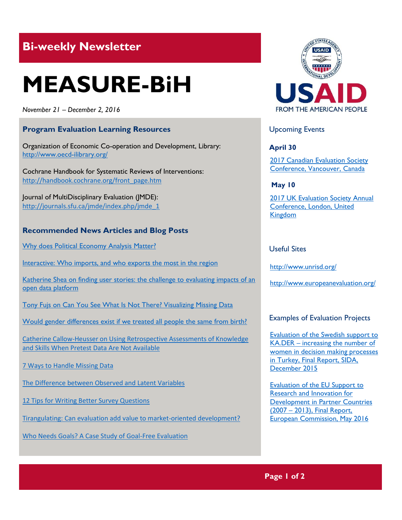# **Bi-weekly Newsletter**

# **MEASURE-BiH**

*November 21 – December 2, 2016*

# **Program Evaluation Learning Resources**

Organization of Economic Co-operation and Development, Library: <http://www.oecd-ilibrary.org/>

Cochrane Handbook for Systematic Reviews of Interventions: [http://handbook.cochrane.org/front\\_page.htm](http://handbook.cochrane.org/front_page.htm)

Journal of MultiDisciplinary Evaluation (JMDE): [http://journals.sfu.ca/jmde/index.php/jmde\\_1](http://journals.sfu.ca/jmde/index.php/jmde_1)

# **Recommended News Articles and Blog Posts**

[Why does Political Economy Analysis Matter?](http://ieg.worldbankgroup.org/blog/why-does-political-economy-analysis-matter)

[Interactive: Who imports, and who exports the most in the region](http://balkans.aljazeera.net/vijesti/interaktivno-ko-najvise-uvozi-ko-izvozi-u-regiji)

Katherine Shea on finding user stories: the challenge to evaluating impacts of an [open data platform](http://aea365.org/blog/dvr-tig-week-katherine-shea-on-finding-user-stories-the-challenge-to-evaluating-impacts-of-an-open-data-platform/?utm_source=feedburner&utm_medium=feed&utm_campaign=Feed%3A+aea365+%28AEA365%29)

[Tony Fujs on Can You See What Is Not There? Visualizing Missing Data](http://aea365.org/blog/dvr-tig-week-tony-fujs-on-can-you-see-what-is-not-there-visualizing-missing-data/?utm_source=feedburner&utm_medium=feed&utm_campaign=Feed%3A+aea365+%28AEA365%29)

[Would gender differences exist if we treated all people the same from birth?](https://theconversation.com/would-gender-differences-exist-if-we-treated-all-people-the-same-from-birth-68181)

[Catherine Callow-Heusser on Using Retrospective Assessments of Knowledge](http://aea365.org/blog/ed-eval-tig-week-catherine-callow-heusser-on-using-retrospective-assessments-of-knowledge-and-skills-when-pretest-data-are-not-available/?utm_source=feedburner&utm_medium=feed&utm_campaign=Feed%3A+aea365+%28AEA365%29)  [and Skills When Pretest Data Are Not Available](http://aea365.org/blog/ed-eval-tig-week-catherine-callow-heusser-on-using-retrospective-assessments-of-knowledge-and-skills-when-pretest-data-are-not-available/?utm_source=feedburner&utm_medium=feed&utm_campaign=Feed%3A+aea365+%28AEA365%29)

[7 Ways to Handle Missing Data](http://www.measuringu.com/blog/handle-missing-data.php)

[The Difference between Observed and Latent Variables](http://www.measuringu.com/blog/latent-variables.php)

[12 Tips for Writing Better Survey Questions](http://www.measuringu.com/blog/survey-questions.php)

[Tirangulating: Can evaluation add value to market-oriented development?](http://www.europeanevaluation.org/ees-blogs/riitta-oksanen/triangulating-can-evaluation-add-value-market-oriented-development)

[Who Needs Goals? A Case Study of Goal-Free Evaluation](http://journals.sfu.ca/jmde/index.php/jmde_1/article/view/448/420)



# Upcoming Events

**April 30**

[2017 Canadian Evaluation Society](http://mande.co.uk/conferences/?event_id1=29)  [Conference, Vancouver, Canada](http://mande.co.uk/conferences/?event_id1=29)

**May 10**

2017 UK Evaluation Society Annual [Conference, London, United](http://mande.co.uk/conferences/?event_id1=30)  [Kingdom](http://mande.co.uk/conferences/?event_id1=30)

# Useful Sites

<http://www.unrisd.org/>

<http://www.europeanevaluation.org/>

# Examples of Evaluation Projects

[Evaluation of the Swedish support to](http://www.sida.se/contentassets/b8a873bd17004c5498f907e188614f73/f2aabeb7-26ae-421b-a066-9f245f85ecf1.pdf)  KA.DER – [increasing the number of](http://www.sida.se/contentassets/b8a873bd17004c5498f907e188614f73/f2aabeb7-26ae-421b-a066-9f245f85ecf1.pdf)  [women in decision making processes](http://www.sida.se/contentassets/b8a873bd17004c5498f907e188614f73/f2aabeb7-26ae-421b-a066-9f245f85ecf1.pdf)  [in Turkey, Final Report, SIDA,](http://www.sida.se/contentassets/b8a873bd17004c5498f907e188614f73/f2aabeb7-26ae-421b-a066-9f245f85ecf1.pdf)  [December 2015](http://www.sida.se/contentassets/b8a873bd17004c5498f907e188614f73/f2aabeb7-26ae-421b-a066-9f245f85ecf1.pdf)

[Evaluation of the EU Support to](http://ec.europa.eu/europeaid/sites/devco/files/final-report-volume-1-main-report-evaluation-eu-support-to-r-and-i_en.pdf)  [Research and Innovation for](http://ec.europa.eu/europeaid/sites/devco/files/final-report-volume-1-main-report-evaluation-eu-support-to-r-and-i_en.pdf)  [Development in Partner Countries](http://ec.europa.eu/europeaid/sites/devco/files/final-report-volume-1-main-report-evaluation-eu-support-to-r-and-i_en.pdf)  (2007 – [2013\), Final Report,](http://ec.europa.eu/europeaid/sites/devco/files/final-report-volume-1-main-report-evaluation-eu-support-to-r-and-i_en.pdf)  [European Commission, May 2016](http://ec.europa.eu/europeaid/sites/devco/files/final-report-volume-1-main-report-evaluation-eu-support-to-r-and-i_en.pdf)

# **Page 1 of 2**